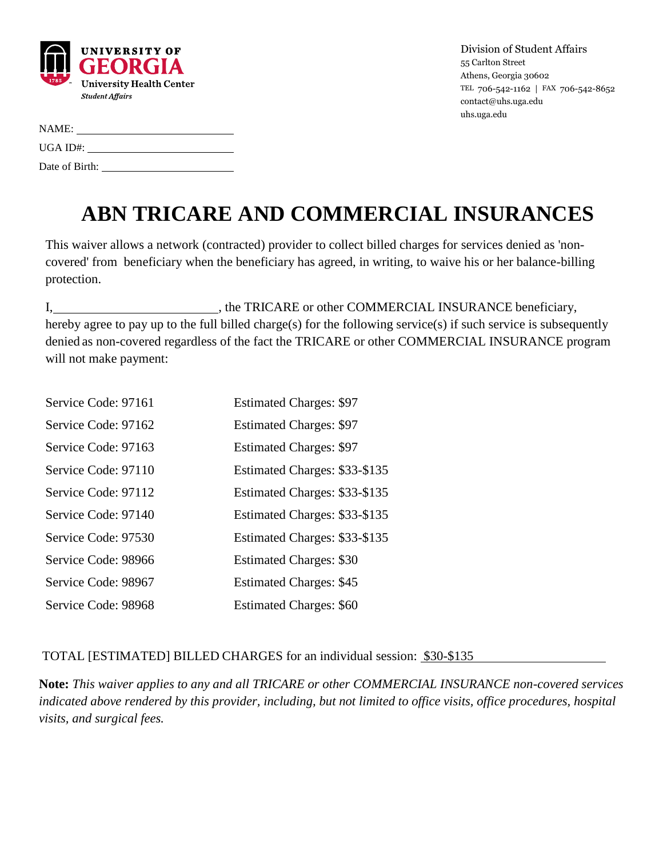

Division of Student Affairs 55 Carlton Street Athens, Georgia 30602 TEL 706-542-1162 | FAX 706-542-8652 contact@uhs.uga.edu uhs.uga.edu

## **ABN TRICARE AND COMMERCIAL INSURANCES**

This waiver allows a network (contracted) provider to collect billed charges for services denied as 'noncovered' from beneficiary when the beneficiary has agreed, in writing, to waive his or her balance-billing protection.

I, the TRICARE or other COMMERCIAL INSURANCE beneficiary, hereby agree to pay up to the full billed charge(s) for the following service(s) if such service is subsequently denied as non-covered regardless of the fact the TRICARE or other COMMERCIAL INSURANCE program will not make payment:

| Service Code: 97161 | <b>Estimated Charges: \$97</b> |
|---------------------|--------------------------------|
| Service Code: 97162 | <b>Estimated Charges: \$97</b> |
| Service Code: 97163 | <b>Estimated Charges: \$97</b> |
| Service Code: 97110 | Estimated Charges: \$33-\$135  |
| Service Code: 97112 | Estimated Charges: \$33-\$135  |
| Service Code: 97140 | Estimated Charges: \$33-\$135  |
| Service Code: 97530 | Estimated Charges: \$33-\$135  |
| Service Code: 98966 | <b>Estimated Charges: \$30</b> |
| Service Code: 98967 | <b>Estimated Charges: \$45</b> |
| Service Code: 98968 | <b>Estimated Charges: \$60</b> |

## TOTAL [ESTIMATED] BILLED CHARGES for an individual session: \$30-\$135

**Note:** *This waiver applies to any and all TRICARE or other COMMERCIAL INSURANCE non-covered services indicated above rendered by this provider, including, but not limited to office visits, office procedures, hospital visits, and surgical fees.*